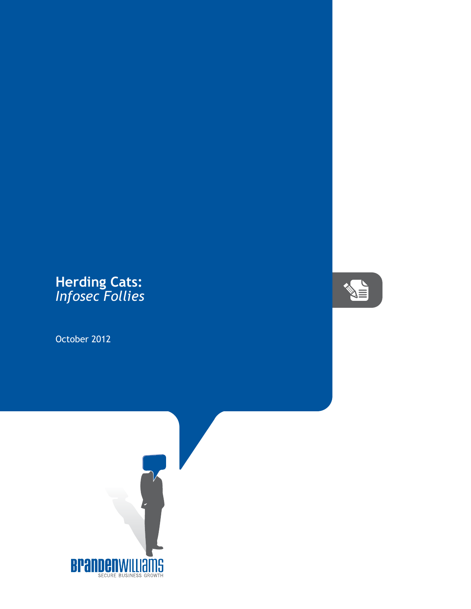## **Herding Cats:** *Infosec Follies*

October 2012



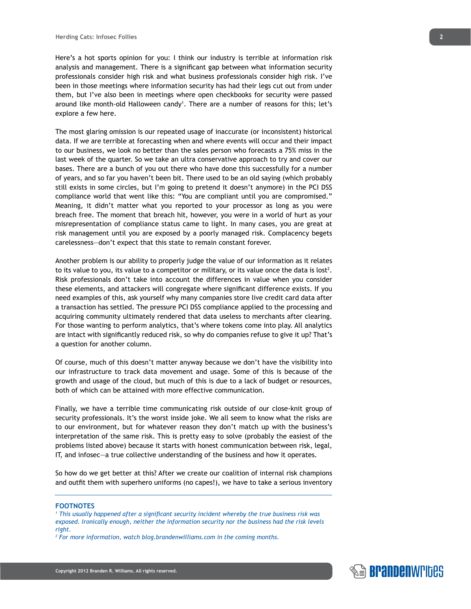Here's a hot sports opinion for you: I think our industry is terrible at information risk analysis and management. There is a significant gap between what information security professionals consider high risk and what business professionals consider high risk. I've been in those meetings where information security has had their legs cut out from under them, but I've also been in meetings where open checkbooks for security were passed around like month-old Halloween candy<sup>1</sup>. There are a number of reasons for this; let's explore a few here.

The most glaring omission is our repeated usage of inaccurate (or inconsistent) historical data. If we are terrible at forecasting when and where events will occur and their impact to our business, we look no better than the sales person who forecasts a 75% miss in the last week of the quarter. So we take an ultra conservative approach to try and cover our bases. There are a bunch of you out there who have done this successfully for a number of years, and so far you haven't been bit. There used to be an old saying (which probably still exists in some circles, but I'm going to pretend it doesn't anymore) in the PCI DSS compliance world that went like this: "You are compliant until you are compromised." Meaning, it didn't matter what you reported to your processor as long as you were breach free. The moment that breach hit, however, you were in a world of hurt as your misrepresentation of compliance status came to light. In many cases, you are great at risk management until you are exposed by a poorly managed risk. Complacency begets carelessness—don't expect that this state to remain constant forever.

Another problem is our ability to properly judge the value of our information as it relates to its value to you, its value to a competitor or military, or its value once the data is lost<sup>2</sup>. Risk professionals don't take into account the differences in value when you consider these elements, and attackers will congregate where significant difference exists. If you need examples of this, ask yourself why many companies store live credit card data after a transaction has settled. The pressure PCI DSS compliance applied to the processing and acquiring community ultimately rendered that data useless to merchants after clearing. For those wanting to perform analytics, that's where tokens come into play. All analytics are intact with significantly reduced risk, so why do companies refuse to give it up? That's a question for another column.

Of course, much of this doesn't matter anyway because we don't have the visibility into our infrastructure to track data movement and usage. Some of this is because of the growth and usage of the cloud, but much of this is due to a lack of budget or resources, both of which can be attained with more effective communication.

Finally, we have a terrible time communicating risk outside of our close-knit group of security professionals. It's the worst inside joke. We all seem to know what the risks are to our environment, but for whatever reason they don't match up with the business's interpretation of the same risk. This is pretty easy to solve (probably the easiest of the problems listed above) because it starts with honest communication between risk, legal, IT, and infosec—a true collective understanding of the business and how it operates.

So how do we get better at this? After we create our coalition of internal risk champions and outfit them with superhero uniforms (no capes!), we have to take a serious inventory

## **FOOTNOTES**

*<sup>1</sup> This usually happened after a significant security incident whereby the true business risk was exposed. Ironically enough, neither the information security nor the business had the risk levels right.*

*<sup>2</sup> For more information, watch blog.brandenwilliams.com in the coming months.*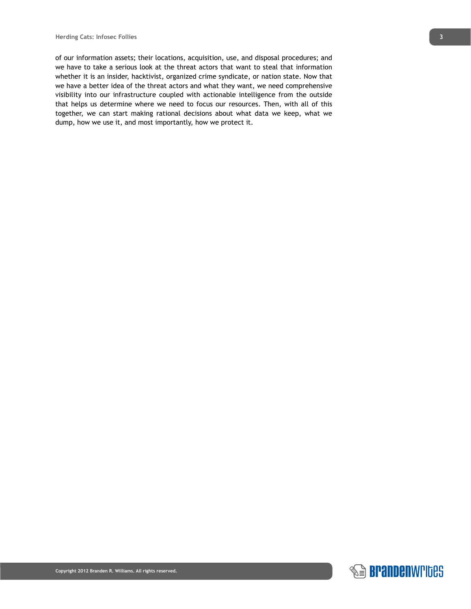of our information assets; their locations, acquisition, use, and disposal procedures; and we have to take a serious look at the threat actors that want to steal that information whether it is an insider, hacktivist, organized crime syndicate, or nation state. Now that we have a better idea of the threat actors and what they want, we need comprehensive visibility into our infrastructure coupled with actionable intelligence from the outside that helps us determine where we need to focus our resources. Then, with all of this together, we can start making rational decisions about what data we keep, what we dump, how we use it, and most importantly, how we protect it.